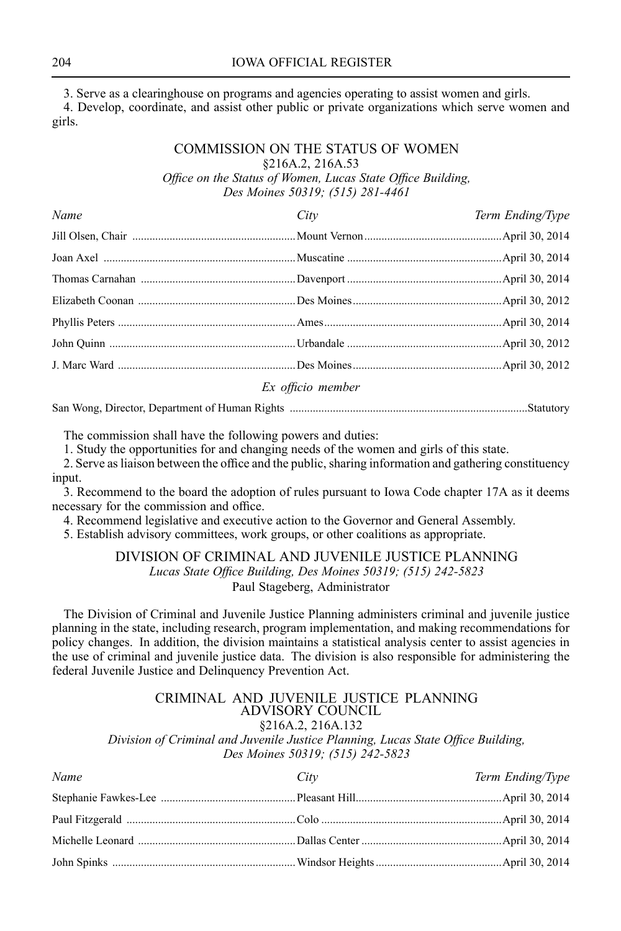3. Serve as <sup>a</sup> clearinghouse on programs and agencies operating to assist women and girls.

4. Develop, coordinate, and assist other public or private organizations which serve women and girls.

### COMMISSION ON THE STATUS OF WOMEN §216A.2, 216A.53 *Office on the Status of Women, Lucas State Office Building, Des Moines 50319; (515) 281-4461*

| Name | City                                                                                                                                                                                                                                                                                                                             | Term Ending/Type |
|------|----------------------------------------------------------------------------------------------------------------------------------------------------------------------------------------------------------------------------------------------------------------------------------------------------------------------------------|------------------|
|      |                                                                                                                                                                                                                                                                                                                                  |                  |
|      |                                                                                                                                                                                                                                                                                                                                  |                  |
|      |                                                                                                                                                                                                                                                                                                                                  |                  |
|      |                                                                                                                                                                                                                                                                                                                                  |                  |
|      |                                                                                                                                                                                                                                                                                                                                  |                  |
|      |                                                                                                                                                                                                                                                                                                                                  |                  |
|      |                                                                                                                                                                                                                                                                                                                                  |                  |
|      | $\Gamma$ and $\Gamma$ and $\Gamma$ and $\Gamma$ and $\Gamma$ and $\Gamma$ and $\Gamma$ and $\Gamma$ and $\Gamma$ and $\Gamma$ and $\Gamma$ and $\Gamma$ and $\Gamma$ and $\Gamma$ and $\Gamma$ and $\Gamma$ and $\Gamma$ and $\Gamma$ and $\Gamma$ and $\Gamma$ and $\Gamma$ and $\Gamma$ and $\Gamma$ and $\Gamma$ and $\Gamma$ |                  |

#### *Ex officio member*

San Wong, Director, Department of Human Rights ...................................................................................Statutory

The commission shall have the following powers and duties:

1. Study the opportunities for and changing needs of the women and girls of this state.

2. Serve asliaison between the office and the public, sharing information and gathering constituency input.

3. Recommend to the board the adoption of rules pursuant to Iowa Code chapter 17A as it deems necessary for the commission and office.

4. Recommend legislative and executive action to the Governor and General Assembly.

5. Establish advisory committees, work groups, or other coalitions as appropriate.

### DIVISION OF CRIMINAL AND JUVENILE JUSTICE PLANNING *Lucas State Office Building, Des Moines 50319; (515) 242-5823* Paul Stageberg, Administrator

The Division of Criminal and Juvenile Justice Planning administers criminal and juvenile justice planning in the state, including research, program implementation, and making recommendations for policy changes. In addition, the division maintains <sup>a</sup> statistical analysis center to assist agencies in the use of criminal and juvenile justice data. The division is also responsible for administering the federal Juvenile Justice and Delinquency Prevention Act.

#### CRIMINAL AND JUVENILE JUSTICE PLANNING ADVISORY COUNCIL §216A.2, 216A.132

*Division of Criminal and Juvenile Justice Planning, Lucas State Office Building, Des Moines 50319; (515) 242-5823*

| Name | City | Term Ending/Type |
|------|------|------------------|
|      |      |                  |
|      |      |                  |
|      |      |                  |
|      |      |                  |